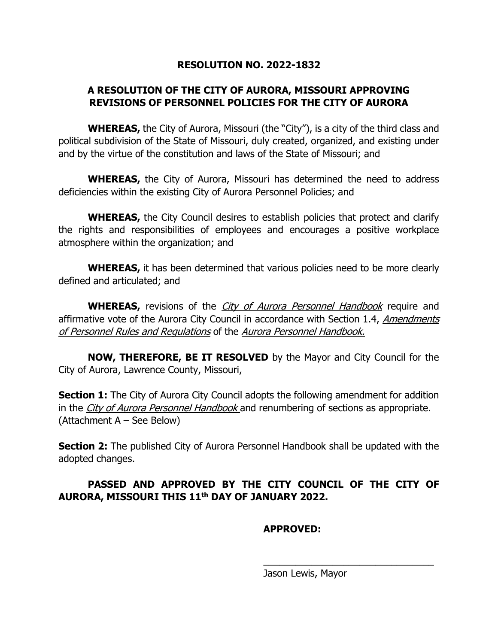#### **RESOLUTION NO. 2022-1832**

## **A RESOLUTION OF THE CITY OF AURORA, MISSOURI APPROVING REVISIONS OF PERSONNEL POLICIES FOR THE CITY OF AURORA**

**WHEREAS,** the City of Aurora, Missouri (the "City"), is a city of the third class and political subdivision of the State of Missouri, duly created, organized, and existing under and by the virtue of the constitution and laws of the State of Missouri; and

**WHEREAS,** the City of Aurora, Missouri has determined the need to address deficiencies within the existing City of Aurora Personnel Policies; and

**WHEREAS,** the City Council desires to establish policies that protect and clarify the rights and responsibilities of employees and encourages a positive workplace atmosphere within the organization; and

**WHEREAS,** it has been determined that various policies need to be more clearly defined and articulated; and

**WHEREAS,** revisions of the *City of Aurora Personnel Handbook* require and affirmative vote of the Aurora City Council in accordance with Section 1.4, Amendments of Personnel Rules and Regulations of the Aurora Personnel Handbook.

**NOW, THEREFORE, BE IT RESOLVED** by the Mayor and City Council for the City of Aurora, Lawrence County, Missouri,

**Section 1:** The City of Aurora City Council adopts the following amendment for addition in the City of Aurora Personnel Handbook and renumbering of sections as appropriate. (Attachment A – See Below)

**Section 2:** The published City of Aurora Personnel Handbook shall be updated with the adopted changes.

# **PASSED AND APPROVED BY THE CITY COUNCIL OF THE CITY OF AURORA, MISSOURI THIS 11th DAY OF JANUARY 2022.**

## **APPROVED:**

Jason Lewis, Mayor

\_\_\_\_\_\_\_\_\_\_\_\_\_\_\_\_\_\_\_\_\_\_\_\_\_\_\_\_\_\_\_\_